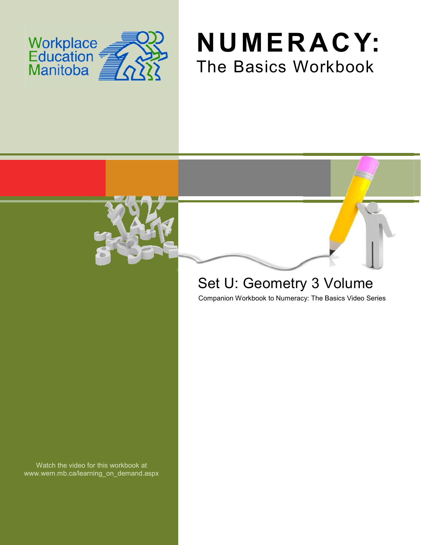





## Set U: Geometry 3 Volume

Companion Workbook to Numeracy: The Basics Video Series

Watch the video for this workbook at www.wem.mb.ca/learning\_on\_demand.aspx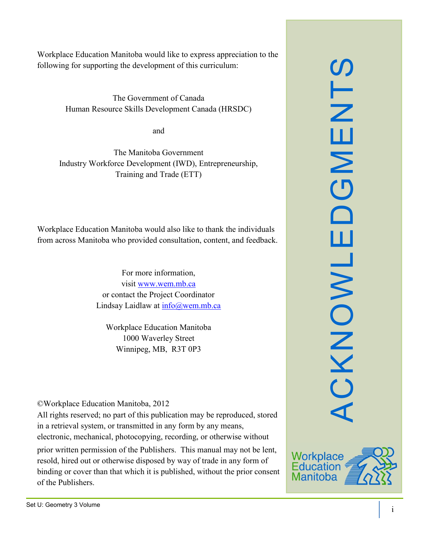Workplace Education Manitoba would like to express appreciation to the following for supporting the development of this curriculum:

> The Government of Canada Human Resource Skills Development Canada (HRSDC)

> > and

The Manitoba Government Industry Workforce Development (IWD), Entrepreneurship, Training and Trade (ETT)

Workplace Education Manitoba would also like to thank the individuals from across Manitoba who provided consultation, content, and feedback.

> For more information, visit [www.wem.mb.ca](http://www.wem.mb.ca/) or contact the Project Coordinator Lindsay Laidlaw at [info@wem.mb.ca](mailto:info@wem.mb.ca)

Workplace Education Manitoba 1000 Waverley Street Winnipeg, MB, R3T 0P3

©Workplace Education Manitoba, 2012

All rights reserved; no part of this publication may be reproduced, stored in a retrieval system, or transmitted in any form by any means, electronic, mechanical, photocopying, recording, or otherwise without

prior written permission of the Publishers. This manual may not be lent, resold, hired out or otherwise disposed by way of trade in any form of binding or cover than that which it is published, without the prior consent of the Publishers.



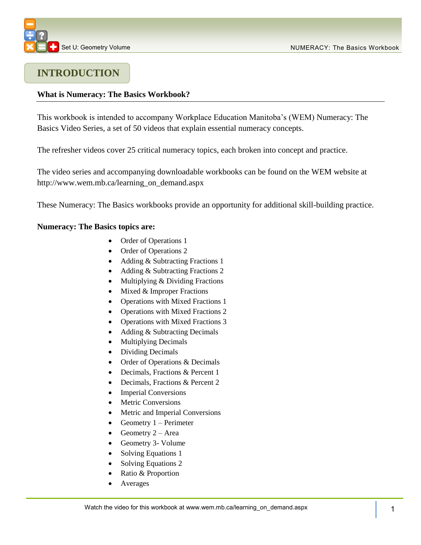## **INTRODUCTION**

## **What is Numeracy: The Basics Workbook?**

This workbook is intended to accompany Workplace Education Manitoba's (WEM) Numeracy: The Basics Video Series, a set of 50 videos that explain essential numeracy concepts.

The refresher videos cover 25 critical numeracy topics, each broken into concept and practice.

The video series and accompanying downloadable workbooks can be found on the WEM website at [http://www.wem.mb.ca/learning\\_on\\_demand.aspx](http://www.wem.mb.ca/learning_on_demand.aspx)

These Numeracy: The Basics workbooks provide an opportunity for additional skill-building practice.

### **Numeracy: The Basics topics are:**

- Order of Operations 1
- Order of Operations 2
- Adding & Subtracting Fractions 1
- Adding & Subtracting Fractions 2
- Multiplying & Dividing Fractions
- $\bullet$  Mixed & Improper Fractions
- Operations with Mixed Fractions 1
- Operations with Mixed Fractions 2
- Operations with Mixed Fractions 3
- Adding & Subtracting Decimals
- Multiplying Decimals
- Dividing Decimals
- Order of Operations & Decimals
- Decimals, Fractions & Percent 1
- Decimals, Fractions & Percent 2
- Imperial Conversions
- Metric Conversions
- Metric and Imperial Conversions
- Geometry  $1 -$  Perimeter
- Geometry  $2 Area$
- Geometry 3- Volume
- Solving Equations 1
- Solving Equations 2
- Ratio & Proportion
- Averages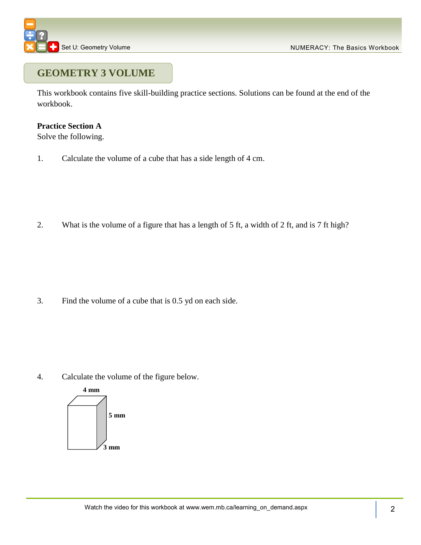

## **GEOMETRY 3 VOLUME**

This workbook contains five skill-building practice sections. Solutions can be found at the end of the workbook.

## **Practice Section A**

Solve the following.

1. Calculate the volume of a cube that has a side length of 4 cm.

2. What is the volume of a figure that has a length of 5 ft, a width of 2 ft, and is 7 ft high?

3. Find the volume of a cube that is 0.5 yd on each side.

4. Calculate the volume of the figure below.

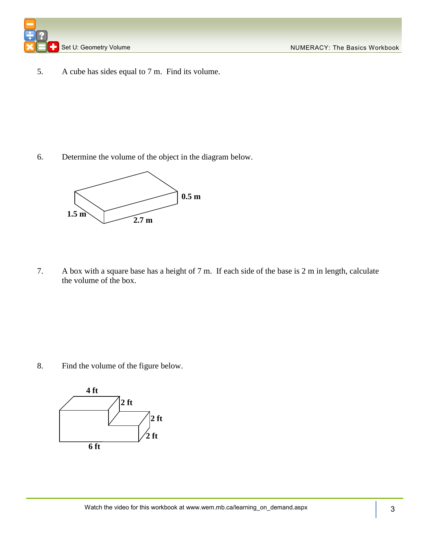

5. A cube has sides equal to 7 m. Find its volume.

6. Determine the volume of the object in the diagram below.



7. A box with a square base has a height of 7 m. If each side of the base is 2 m in length, calculate the volume of the box.

8. Find the volume of the figure below.

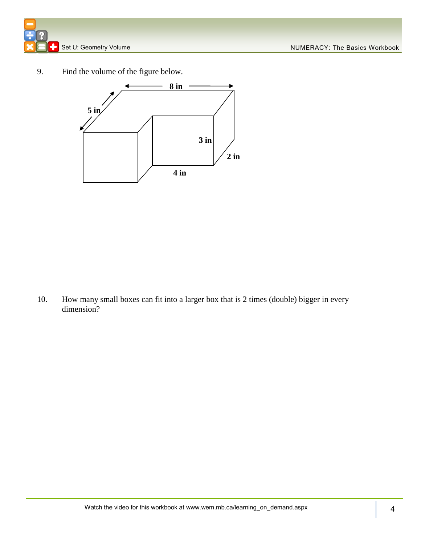9. Find the volume of the figure below.



10. How many small boxes can fit into a larger box that is 2 times (double) bigger in every dimension?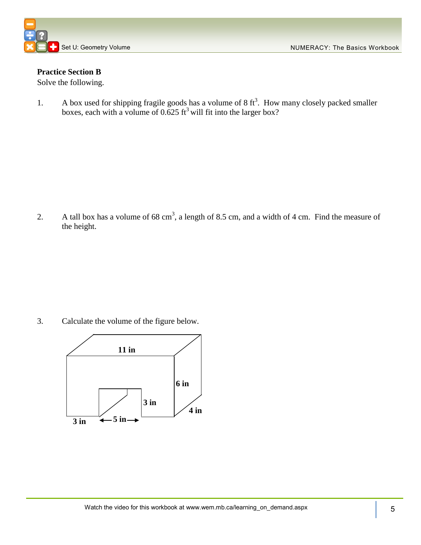

## **Practice Section B**

Solve the following.

1. A box used for shipping fragile goods has a volume of  $8 \text{ ft}^3$ . How many closely packed smaller boxes, each with a volume of  $0.625 \text{ ft}^3$  will fit into the larger box?

2. A tall box has a volume of 68 cm<sup>3</sup>, a length of 8.5 cm, and a width of 4 cm. Find the measure of the height.

3. Calculate the volume of the figure below.

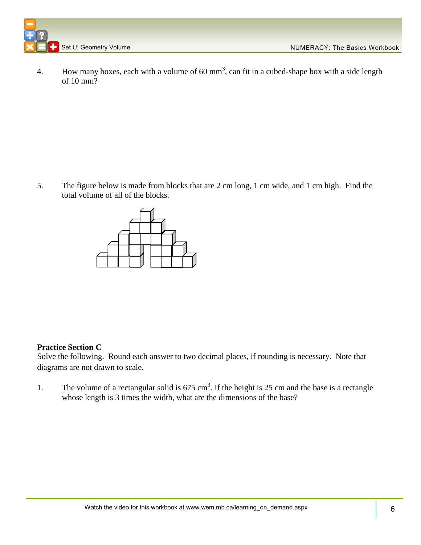

4. How many boxes, each with a volume of 60 mm<sup>3</sup>, can fit in a cubed-shape box with a side length of 10 mm?

5. The figure below is made from blocks that are 2 cm long, 1 cm wide, and 1 cm high. Find the total volume of all of the blocks.



## **Practice Section C**

Solve the following. Round each answer to two decimal places, if rounding is necessary. Note that diagrams are not drawn to scale.

1. The volume of a rectangular solid is  $675 \text{ cm}^3$ . If the height is 25 cm and the base is a rectangle whose length is 3 times the width, what are the dimensions of the base?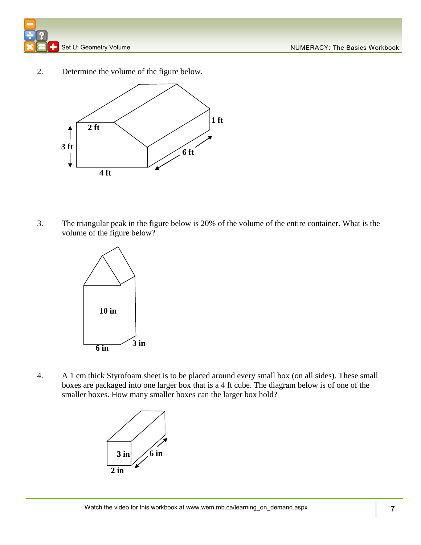2. Determine the volume of the figure below.



3. The triangular peak in the figure below is 20% of the volume of the entire container. What is the volume of the figure below?



4. A 1 cm thick Styrofoam sheet is to be placed around every small box (on all sides). These small boxes are packaged into one larger box that is a 4 ft cube. The diagram below is of one of the smaller boxes. How many smaller boxes can the larger box hold?

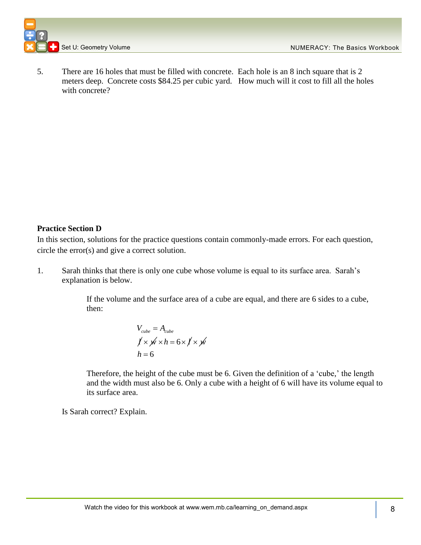

5. There are 16 holes that must be filled with concrete. Each hole is an 8 inch square that is 2 meters deep. Concrete costs \$84.25 per cubic yard. How much will it cost to fill all the holes with concrete?

## **Practice Section D**

In this section, solutions for the practice questions contain commonly-made errors. For each question, circle the error(s) and give a correct solution.

1. Sarah thinks that there is only one cube whose volume is equal to its surface area. Sarah's explanation is below.

> If the volume and the surface area of a cube are equal, and there are 6 sides to a cube, then:

$$
V_{cube} = A_{cube}
$$
  

$$
f \times \cancel{w} \times h = 6 \times f \times \cancel{w}
$$
  

$$
h = 6
$$

Therefore, the height of the cube must be 6. Given the definition of a 'cube,' the length and the width must also be 6. Only a cube with a height of 6 will have its volume equal to its surface area.

Is Sarah correct? Explain.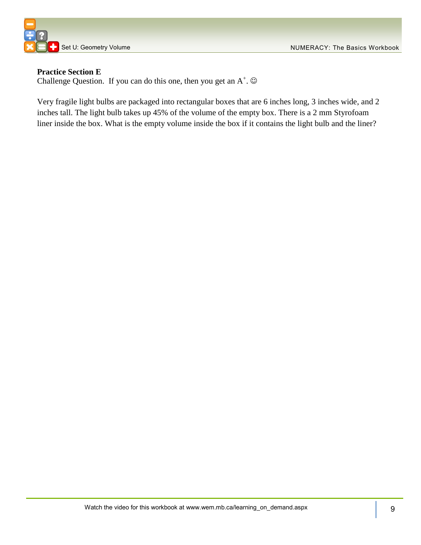

## **Practice Section E**

Challenge Question. If you can do this one, then you get an  $A^+$ .  $\odot$ 

Very fragile light bulbs are packaged into rectangular boxes that are 6 inches long, 3 inches wide, and 2 inches tall. The light bulb takes up 45% of the volume of the empty box. There is a 2 mm Styrofoam liner inside the box. What is the empty volume inside the box if it contains the light bulb and the liner?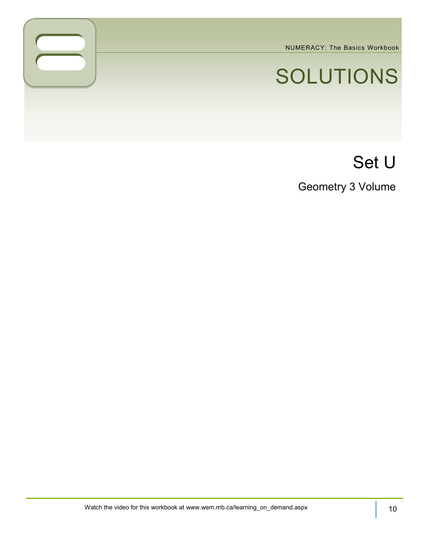NUMERACY: The Basics Workbook

# SOLUTIONS

## Set U

Geometry 3 Volume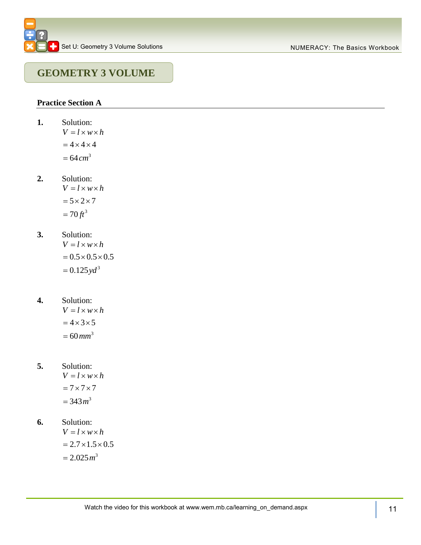

## **GEOMETRY 3 VOLUME**

## **Practice Section A**

- **1.** Solution:  $=64 \, cm^3$  $=4\times4\times4$  $V = l \times w \times h$
- **2.** Solution:  $V = l \times w \times h$ 
	- $= 70$   $ft^3$  $=5\times2\times7$
- **3.** Solution:

 $= 0.125 y d^3$  $= 0.5 \times 0.5 \times 0.5$  $V = l \times w \times h$ 

- **4.** Solution:
	- $=60$  mm<sup>3</sup>  $= 4 \times 3 \times 5$  $V = l \times w \times h$
- **5.** Solution:  $V = l \times w \times h$ 
	- $= 343 m^3$  $=7\times7\times7$
- **6.** Solution:

 $= 2.025 m^3$  $= 2.7 \times 1.5 \times 0.5$  $V = l \times w \times h$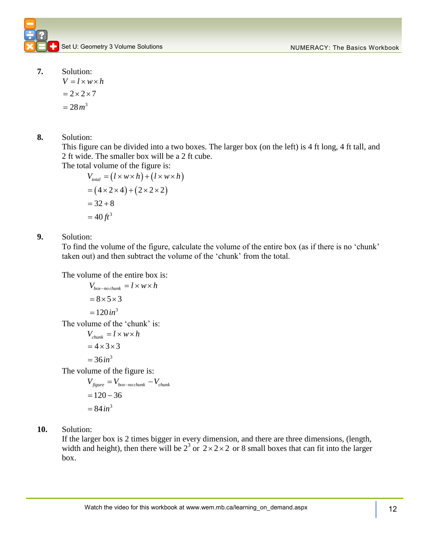**7.** Solution:

 $= 28 m^3$  $= 2 \times 2 \times 7$  $V = l \times w \times h$ 

**8.** Solution:

This figure can be divided into a two boxes. The larger box (on the left) is 4 ft long, 4 ft tall, and 2 ft wide. The smaller box will be a 2 ft cube.

The total volume of the figure is:  
\n
$$
V_{total} = (l \times w \times h) + (l \times w \times h)
$$
\n
$$
= (4 \times 2 \times 4) + (2 \times 2 \times 2)
$$
\n
$$
= 32 + 8
$$
\n
$$
= 40 ft3
$$

## **9.** Solution:

To find the volume of the figure, calculate the volume of the entire box (as if there is no 'chunk' taken out) and then subtract the volume of the 'chunk' from the total.

The volume of the entire box is:

$$
V_{box-no \text{ chunk}} = l \times w \times h
$$
  
= 8 × 5 × 3  
= 120 *in*<sup>3</sup>  
The volume of the 'chunk' is:  

$$
V_{chunk} = l \times w \times h
$$
  
= 4 × 3 × 3  
= 36 *in*<sup>3</sup>  
The volume of the figure is:

$$
V_{figure} = V_{box-no chunk} - V_{chunk}
$$
  
= 120 - 36  
= 84 in<sup>3</sup>

**10.** Solution:

If the larger box is 2 times bigger in every dimension, and there are three dimensions, (length, width and height), then there will be  $2^3$  or  $2 \times 2 \times 2$  or 8 small boxes that can fit into the larger box.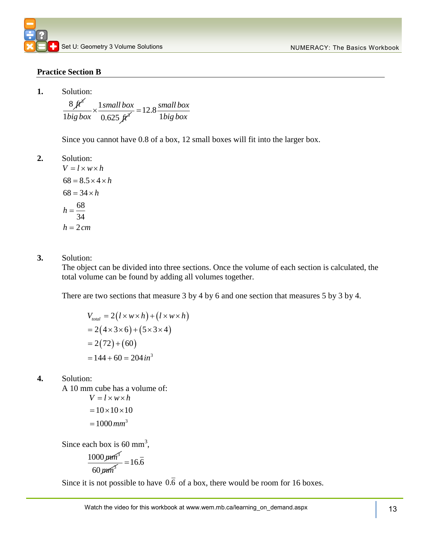## **Practice Section B**

**1.** Solution:

Solution:  
\n
$$
\frac{8 \cancel{f}^3}{1 \cancel{b} \cancel{i}} \times \frac{1 \text{ small box}}{0.625 \cancel{f}^3} = 12.8 \frac{\text{small box}}{1 \cancel{b} \cancel{i}} = 12.8 \frac{\text{small box}}{1 \cancel{b} \cancel{i}}
$$

Since you cannot have 0.8 of a box, 12 small boxes will fit into the larger box.

**2.** Solution:

 $68 = 8.5 \times 4 \times h$  $68 = 34 \times h$ 68 34  $h = 2 \, cm$  $V = l \times w \times h$ *h*

**3.** Solution:

The object can be divided into three sections. Once the volume of each section is calculated, the total volume can be found by adding all volumes together.

There are two sections that measure 3 by 4 by 6 and one section that measures 5 by 3 by 4.

$$
V_{total} = 2(l \times w \times h) + (l \times w \times h)
$$
  
= 2(4 \times 3 \times 6) + (5 \times 3 \times 4)  
= 2(72) + (60)  
= 144 + 60 = 204 in<sup>3</sup>

**4.** Solution:

A 10 mm cube has a volume of:  $=10\times 10\times 10$  $V = l \times w \times h$ 

$$
=1000\,mm^3
$$

Since each box is 60 mm<sup>3</sup>,

$$
\frac{1000 \,\mu m^3}{60 \,\mu m^3} = 16.\overline{6}
$$

Since it is not possible to have 0.6 of a box, there would be room for 16 boxes.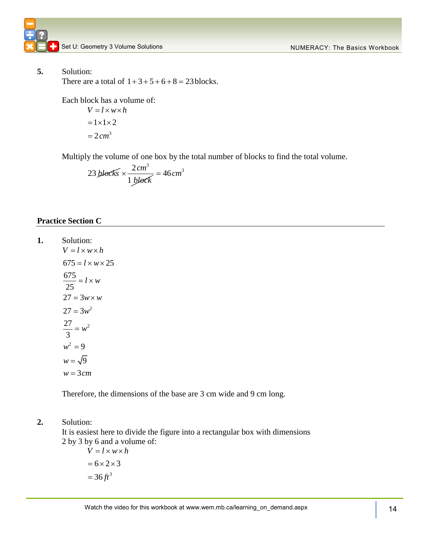**5.** Solution:

There are a total of  $1 + 3 + 5 + 6 + 8 = 23$  blocks.

Each block has a volume of:<br> $V_1$ ,  $V_2$ ,  $V_3$ 

$$
V = l \times w \times h
$$

$$
= 1 \times 1 \times 2
$$

$$
= 2 \, cm^3
$$

Multiply the volume of one box by the total number of blocks to find the total volume.

$$
23 \text{ blocks} \times \frac{2 \text{ cm}^3}{1 \text{ block}} = 46 \text{ cm}^3
$$

### **Practice Section C**

**1.** Solution:  $27 = 3w^2$  $27 - 11^2$  $w^2 = 9$  $675 = l \times w \times 25$ 675 25  $27 = 3w \times w$ 3  $w = \sqrt{9}$  $w = 3 cm$  $V = l \times w \times h$  $=$  $l \times w$  $=w$ 

Therefore, the dimensions of the base are 3 cm wide and 9 cm long.

#### **2.** Solution:

It is easiest here to divide the figure into a rectangular box with dimensions 2 by 3 by 6 and a volume of:

 $= 36 ft^3$  $= 6 \times 2 \times 3$  $V = l \times w \times h$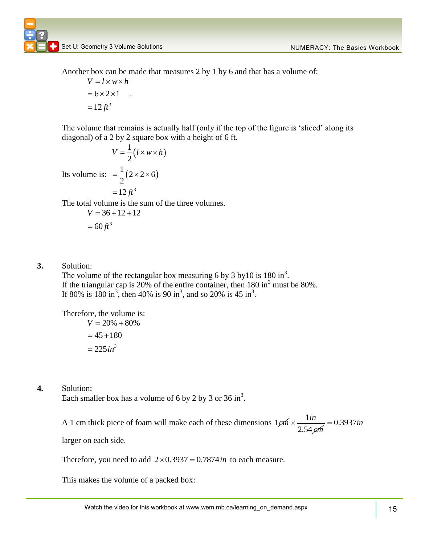Another box can be made that measures 2 by 1 by 6 and that has a volume of:

$$
V = l \times w \times h
$$

$$
= 6 \times 2 \times 1
$$

$$
= 12 ft3
$$

The volume that remains is actually half (only if the top of the figure is 'sliced' along its diagonal) of a 2 by 2 square box with a height of 6 ft.

$$
V = \frac{1}{2} (l \times w \times h)
$$
  
volume is: 
$$
= \frac{1}{2} (2 \times 2 \times 6)
$$

$$
= 12 ft^3
$$

.

The total volume is the sum of the three volumes.

$$
V = 36 + 12 + 12
$$

$$
= 60 ft3
$$

## **3.** Solution:

Its

The volume of the rectangular box measuring 6 by 3 by 10 is 180 in<sup>3</sup>. If the triangular cap is 20% of the entire container, then  $180 \text{ in}^3$  must be  $80\%$ . If 80% is  $180 \text{ in}^3$ , then 40% is 90 in<sup>3</sup>, and so 20% is 45 in<sup>3</sup>.

Therefore, the volume is:

 $= 225$  in<sup>3</sup>  $V = 20\% + 80\%$  $= 45 + 180$ 

**4.** Solution:

Each smaller box has a volume of 6 by 2 by 3 or 36 in<sup>3</sup>.

A 1 cm thick piece of foam will make each of these dimensions  $1 \cancel{cm} \times \frac{1}{\sqrt{cm}}$ 2.54 *in cm*  $x \frac{11}{2} = 0.3937$ *in* 

larger on each side.

Therefore, you need to add  $2 \times 0.3937 = 0.7874$  *in* to each measure.

This makes the volume of a packed box: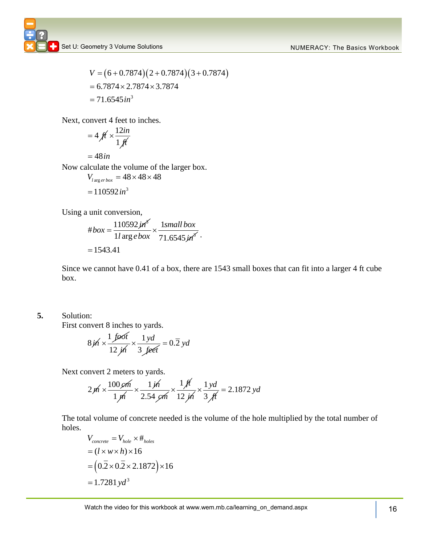$$
V = (6 + 0.7874)(2 + 0.7874)(3 + 0.7874)
$$
  
= 6.7874 × 2.7874 × 3.7874  
= 71.6545 in<sup>3</sup>

Next, convert 4 feet to inches.

$$
=4 \text{ ft} \times \frac{12 \text{ in}}{1 \text{ ft}}
$$

$$
=48 \text{ in}
$$

Now calculate the volume of the larger box.

$$
V_{l \arg env} = 48 \times 48 \times 48
$$

$$
= 110592 \text{ in}^3
$$

Using a unit conversion,

$$
\text{Hint} \text{ conversion,}
$$
\n
$$
\#box = \frac{110592 \,\text{in}^3}{1l \,\text{arg}\,\text{e}\,\text{box}} \times \frac{1 \,\text{small}\,\text{box}}{71.6545 \,\text{in}^3}.
$$
\n
$$
= 1543.41
$$

Since we cannot have 0.41 of a box, there are 1543 small boxes that can fit into a larger 4 ft cube box.

**5.** Solution:

First convert 8 inches to yards.

$$
8jh \times \frac{1 \text{ foot}}{12 \text{ jh}} \times \frac{1 \text{ yd}}{3 \text{ feet}} = 0.\overline{2} \text{ yd}
$$

Next convert 2 meters to yards.

$$
2\cancel{m} \times \frac{100\cancel{cm}}{1\cancel{m}} \times \frac{1\cancel{m}}{2.54\cancel{cm}} \times \frac{1\cancel{m}}{12\cancel{m}} \times \frac{1\cancel{yd}}{3\cancel{ft}} = 2.1872\text{ yd}
$$

The total volume of concrete needed is the volume of the hole multiplied by the total number of holes.

$$
V_{concrete} = V_{hole} \times #_{holes}
$$
  
=  $(l \times w \times h) \times 16$   
=  $(0.\overline{2} \times 0.\overline{2} \times 2.1872) \times 16$   
= 1.7281 yd<sup>3</sup>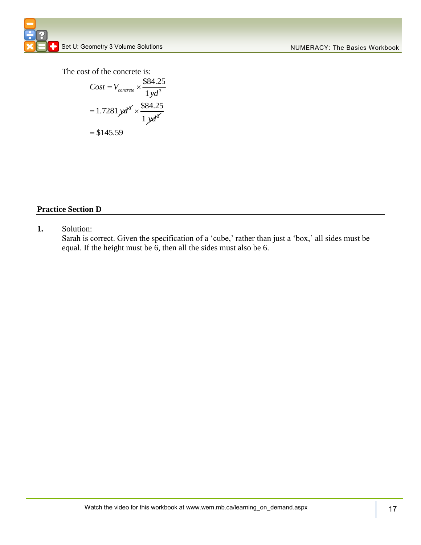The cost of the concrete is:  $694.25$ 

$$
Cost = V_{concrete} \times \frac{\$84.25}{1 \text{ yd}^3}
$$

$$
= 1.7281 \text{ yd}^5 \times \frac{\$84.25}{1 \text{ yd}^5}
$$

$$
= \$145.59
$$

## **Practice Section D**

## **1.** Solution:

Sarah is correct. Given the specification of a 'cube,' rather than just a 'box,' all sides must be equal. If the height must be 6, then all the sides must also be 6.